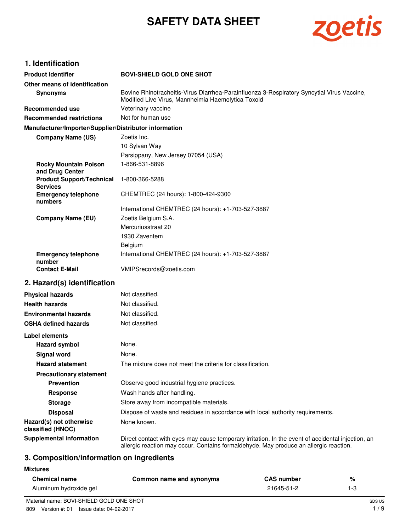# **SAFETY DATA SHEET**



# **1. Identification**

| <b>Product identifier</b>                              | <b>BOVI-SHIELD GOLD ONE SHOT</b>                                                                                                                                                           |
|--------------------------------------------------------|--------------------------------------------------------------------------------------------------------------------------------------------------------------------------------------------|
| Other means of identification                          |                                                                                                                                                                                            |
| <b>Synonyms</b>                                        | Bovine Rhinotracheitis-Virus Diarrhea-Parainfluenza 3-Respiratory Syncytial Virus Vaccine,<br>Modified Live Virus, Mannheimia Haemolytica Toxoid                                           |
| Recommended use                                        | Veterinary vaccine                                                                                                                                                                         |
| <b>Recommended restrictions</b>                        | Not for human use                                                                                                                                                                          |
| Manufacturer/Importer/Supplier/Distributor information |                                                                                                                                                                                            |
| <b>Company Name (US)</b>                               | Zoetis Inc.                                                                                                                                                                                |
|                                                        | 10 Sylvan Way                                                                                                                                                                              |
|                                                        | Parsippany, New Jersey 07054 (USA)                                                                                                                                                         |
| <b>Rocky Mountain Poison</b><br>and Drug Center        | 1-866-531-8896                                                                                                                                                                             |
| <b>Product Support/Technical</b><br><b>Services</b>    | 1-800-366-5288                                                                                                                                                                             |
| <b>Emergency telephone</b><br>numbers                  | CHEMTREC (24 hours): 1-800-424-9300                                                                                                                                                        |
|                                                        | International CHEMTREC (24 hours): +1-703-527-3887                                                                                                                                         |
| <b>Company Name (EU)</b>                               | Zoetis Belgium S.A.                                                                                                                                                                        |
|                                                        | Mercuriusstraat 20                                                                                                                                                                         |
|                                                        | 1930 Zaventem                                                                                                                                                                              |
|                                                        | Belgium<br>International CHEMTREC (24 hours): +1-703-527-3887                                                                                                                              |
| <b>Emergency telephone</b><br>number                   |                                                                                                                                                                                            |
| <b>Contact E-Mail</b>                                  | VMIPSrecords@zoetis.com                                                                                                                                                                    |
| 2. Hazard(s) identification                            |                                                                                                                                                                                            |
| <b>Physical hazards</b>                                | Not classified.                                                                                                                                                                            |
| <b>Health hazards</b>                                  | Not classified.                                                                                                                                                                            |
| <b>Environmental hazards</b>                           | Not classified.                                                                                                                                                                            |
| <b>OSHA defined hazards</b>                            | Not classified.                                                                                                                                                                            |
| Label elements                                         |                                                                                                                                                                                            |
| <b>Hazard symbol</b>                                   | None.                                                                                                                                                                                      |
| <b>Signal word</b>                                     | None.                                                                                                                                                                                      |
| <b>Hazard statement</b>                                | The mixture does not meet the criteria for classification.                                                                                                                                 |
| <b>Precautionary statement</b>                         |                                                                                                                                                                                            |
| <b>Prevention</b>                                      | Observe good industrial hygiene practices.                                                                                                                                                 |
| <b>Response</b>                                        | Wash hands after handling.                                                                                                                                                                 |
| <b>Storage</b>                                         | Store away from incompatible materials.                                                                                                                                                    |
| <b>Disposal</b>                                        | Dispose of waste and residues in accordance with local authority requirements.                                                                                                             |
| Hazard(s) not otherwise<br>classified (HNOC)           | None known.                                                                                                                                                                                |
| <b>Supplemental information</b>                        | Direct contact with eyes may cause temporary irritation. In the event of accidental injection, an<br>allergic reaction may occur. Contains formaldehyde. May produce an allergic reaction. |

# **3. Composition/information on ingredients**

**Mixtures**

| Chemical name          | Common name and synonyms | <b>CAS number</b> | % |
|------------------------|--------------------------|-------------------|---|
| Aluminum hydroxide gel |                          | 21645-51-2        |   |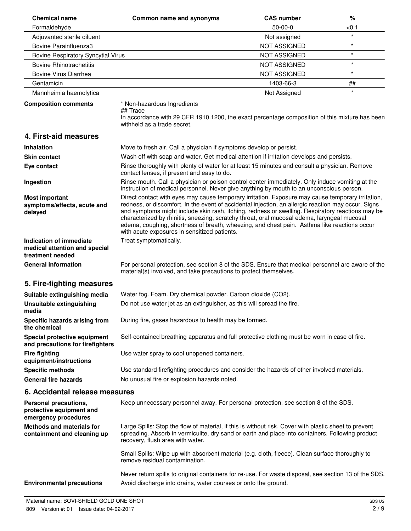| <b>Chemical name</b>                                                         | Common name and synonyms                                                                                                                                                                                                                                                                                                                                                                                                                                                                                                                                   | <b>CAS number</b>   | $\%$    |
|------------------------------------------------------------------------------|------------------------------------------------------------------------------------------------------------------------------------------------------------------------------------------------------------------------------------------------------------------------------------------------------------------------------------------------------------------------------------------------------------------------------------------------------------------------------------------------------------------------------------------------------------|---------------------|---------|
| Formaldehyde                                                                 |                                                                                                                                                                                                                                                                                                                                                                                                                                                                                                                                                            | $50-00-0$           | < 0.1   |
| Adjuvanted sterile diluent                                                   |                                                                                                                                                                                                                                                                                                                                                                                                                                                                                                                                                            | Not assigned        | $\star$ |
| Bovine Parainfluenza3                                                        |                                                                                                                                                                                                                                                                                                                                                                                                                                                                                                                                                            | <b>NOT ASSIGNED</b> | $\star$ |
| <b>Bovine Respiratory Syncytial Virus</b>                                    |                                                                                                                                                                                                                                                                                                                                                                                                                                                                                                                                                            | <b>NOT ASSIGNED</b> | $\star$ |
| <b>Bovine Rhinotrachetitis</b>                                               |                                                                                                                                                                                                                                                                                                                                                                                                                                                                                                                                                            | <b>NOT ASSIGNED</b> | $\star$ |
| Bovine Virus Diarrhea                                                        |                                                                                                                                                                                                                                                                                                                                                                                                                                                                                                                                                            | <b>NOT ASSIGNED</b> | $\star$ |
| Gentamicin                                                                   |                                                                                                                                                                                                                                                                                                                                                                                                                                                                                                                                                            | 1403-66-3           | ##      |
| Mannheimia haemolytica                                                       |                                                                                                                                                                                                                                                                                                                                                                                                                                                                                                                                                            | Not Assigned        | $\star$ |
| <b>Composition comments</b>                                                  | * Non-hazardous Ingredients<br>## Trace<br>In accordance with 29 CFR 1910.1200, the exact percentage composition of this mixture has been<br>withheld as a trade secret.                                                                                                                                                                                                                                                                                                                                                                                   |                     |         |
| 4. First-aid measures                                                        |                                                                                                                                                                                                                                                                                                                                                                                                                                                                                                                                                            |                     |         |
| <b>Inhalation</b>                                                            | Move to fresh air. Call a physician if symptoms develop or persist.                                                                                                                                                                                                                                                                                                                                                                                                                                                                                        |                     |         |
| <b>Skin contact</b>                                                          | Wash off with soap and water. Get medical attention if irritation develops and persists.                                                                                                                                                                                                                                                                                                                                                                                                                                                                   |                     |         |
| Eye contact                                                                  | Rinse thoroughly with plenty of water for at least 15 minutes and consult a physician. Remove                                                                                                                                                                                                                                                                                                                                                                                                                                                              |                     |         |
|                                                                              | contact lenses, if present and easy to do.                                                                                                                                                                                                                                                                                                                                                                                                                                                                                                                 |                     |         |
| Ingestion                                                                    | Rinse mouth. Call a physician or poison control center immediately. Only induce vomiting at the<br>instruction of medical personnel. Never give anything by mouth to an unconscious person.                                                                                                                                                                                                                                                                                                                                                                |                     |         |
| <b>Most important</b><br>symptoms/effects, acute and<br>delayed              | Direct contact with eyes may cause temporary irritation. Exposure may cause temporary irritation,<br>redness, or discomfort. In the event of accidental injection, an allergic reaction may occur. Signs<br>and symptoms might include skin rash, itching, redness or swelling. Respiratory reactions may be<br>characterized by rhinitis, sneezing, scratchy throat, oral mucosal edema, laryngeal mucosal<br>edema, coughing, shortness of breath, wheezing, and chest pain. Asthma like reactions occur<br>with acute exposures in sensitized patients. |                     |         |
| Indication of immediate<br>medical attention and special<br>treatment needed | Treat symptomatically.                                                                                                                                                                                                                                                                                                                                                                                                                                                                                                                                     |                     |         |
| <b>General information</b>                                                   | For personal protection, see section 8 of the SDS. Ensure that medical personnel are aware of the<br>material(s) involved, and take precautions to protect themselves.                                                                                                                                                                                                                                                                                                                                                                                     |                     |         |
| 5. Fire-fighting measures                                                    |                                                                                                                                                                                                                                                                                                                                                                                                                                                                                                                                                            |                     |         |
| Suitable extinguishing media                                                 | Water fog. Foam. Dry chemical powder. Carbon dioxide (CO2).                                                                                                                                                                                                                                                                                                                                                                                                                                                                                                |                     |         |
| Unsuitable extinguishing<br>media                                            | Do not use water jet as an extinguisher, as this will spread the fire.                                                                                                                                                                                                                                                                                                                                                                                                                                                                                     |                     |         |
| Specific hazards arising from<br>the chemical                                | During fire, gases hazardous to health may be formed.                                                                                                                                                                                                                                                                                                                                                                                                                                                                                                      |                     |         |
| Special protective equipment<br>and precautions for firefighters             | Self-contained breathing apparatus and full protective clothing must be worn in case of fire.                                                                                                                                                                                                                                                                                                                                                                                                                                                              |                     |         |
| <b>Fire fighting</b><br>equipment/instructions                               | Use water spray to cool unopened containers.                                                                                                                                                                                                                                                                                                                                                                                                                                                                                                               |                     |         |
| <b>Specific methods</b>                                                      | Use standard firefighting procedures and consider the hazards of other involved materials.                                                                                                                                                                                                                                                                                                                                                                                                                                                                 |                     |         |
| <b>General fire hazards</b>                                                  | No unusual fire or explosion hazards noted.                                                                                                                                                                                                                                                                                                                                                                                                                                                                                                                |                     |         |
| 6. Accidental release measures                                               |                                                                                                                                                                                                                                                                                                                                                                                                                                                                                                                                                            |                     |         |
| Personal precautions,<br>protective equipment and<br>emergency procedures    | Keep unnecessary personnel away. For personal protection, see section 8 of the SDS.                                                                                                                                                                                                                                                                                                                                                                                                                                                                        |                     |         |
| <b>Methods and materials for</b><br>containment and cleaning up              | Large Spills: Stop the flow of material, if this is without risk. Cover with plastic sheet to prevent<br>spreading. Absorb in vermiculite, dry sand or earth and place into containers. Following product<br>recovery, flush area with water.                                                                                                                                                                                                                                                                                                              |                     |         |
|                                                                              | Small Spills: Wipe up with absorbent material (e.g. cloth, fleece). Clean surface thoroughly to<br>remove residual contamination.                                                                                                                                                                                                                                                                                                                                                                                                                          |                     |         |
| <b>Environmental precautions</b>                                             | Never return spills to original containers for re-use. For waste disposal, see section 13 of the SDS.<br>Avoid discharge into drains, water courses or onto the ground.                                                                                                                                                                                                                                                                                                                                                                                    |                     |         |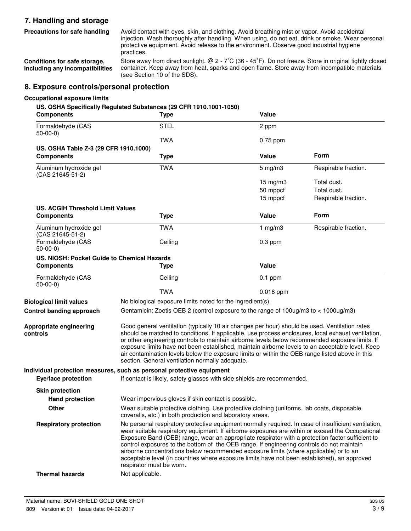# **7. Handling and storage Precautions for safe handling**

Avoid contact with eyes, skin, and clothing. Avoid breathing mist or vapor. Avoid accidental injection. Wash thoroughly after handling. When using, do not eat, drink or smoke. Wear personal protective equipment. Avoid release to the environment. Observe good industrial hygiene practices.

**Conditions for safe storage, including any incompatibilities**

Store away from direct sunlight. @ 2 - 7˚C (36 - 45˚F). Do not freeze. Store in original tightly closed container. Keep away from heat, sparks and open flame. Store away from incompatible materials (see Section 10 of the SDS).

## **8. Exposure controls/personal protection**

#### **Occupational exposure limits**

**controls**

**US. OSHA Specifically Regulated Substances (29 CFR 1910.1001-1050)**

| <b>Components</b>                                          | <b>Type</b>                                                                                                                                                                                                                                                                                                                                                                                                                                                                                                                                                                                                                    | Value              |                      |
|------------------------------------------------------------|--------------------------------------------------------------------------------------------------------------------------------------------------------------------------------------------------------------------------------------------------------------------------------------------------------------------------------------------------------------------------------------------------------------------------------------------------------------------------------------------------------------------------------------------------------------------------------------------------------------------------------|--------------------|----------------------|
| Formaldehyde (CAS<br>$50-00-0$                             | <b>STEL</b>                                                                                                                                                                                                                                                                                                                                                                                                                                                                                                                                                                                                                    | 2 ppm              |                      |
|                                                            | <b>TWA</b>                                                                                                                                                                                                                                                                                                                                                                                                                                                                                                                                                                                                                     | $0.75$ ppm         |                      |
| US. OSHA Table Z-3 (29 CFR 1910.1000)<br><b>Components</b> | <b>Type</b>                                                                                                                                                                                                                                                                                                                                                                                                                                                                                                                                                                                                                    | Value              | Form                 |
| Aluminum hydroxide gel<br>(CAS 21645-51-2)                 | <b>TWA</b>                                                                                                                                                                                                                                                                                                                                                                                                                                                                                                                                                                                                                     | $5 \text{ mg/m}$ 3 | Respirable fraction. |
|                                                            |                                                                                                                                                                                                                                                                                                                                                                                                                                                                                                                                                                                                                                | $15 \text{ mg/m}$  | Total dust.          |
|                                                            |                                                                                                                                                                                                                                                                                                                                                                                                                                                                                                                                                                                                                                | 50 mppcf           | Total dust.          |
|                                                            |                                                                                                                                                                                                                                                                                                                                                                                                                                                                                                                                                                                                                                | 15 mppcf           | Respirable fraction. |
| <b>US. ACGIH Threshold Limit Values</b>                    |                                                                                                                                                                                                                                                                                                                                                                                                                                                                                                                                                                                                                                |                    |                      |
| <b>Components</b>                                          | <b>Type</b>                                                                                                                                                                                                                                                                                                                                                                                                                                                                                                                                                                                                                    | Value              | Form                 |
| Aluminum hydroxide gel<br>(CAS 21645-51-2)                 | <b>TWA</b>                                                                                                                                                                                                                                                                                                                                                                                                                                                                                                                                                                                                                     | 1 $mg/m3$          | Respirable fraction. |
| Formaldehyde (CAS<br>$50-00-0$                             | Ceiling                                                                                                                                                                                                                                                                                                                                                                                                                                                                                                                                                                                                                        | $0.3$ ppm          |                      |
| US. NIOSH: Pocket Guide to Chemical Hazards                |                                                                                                                                                                                                                                                                                                                                                                                                                                                                                                                                                                                                                                |                    |                      |
| <b>Components</b>                                          | <b>Type</b>                                                                                                                                                                                                                                                                                                                                                                                                                                                                                                                                                                                                                    | Value              |                      |
| Formaldehyde (CAS<br>$50-00-0$                             | Ceiling                                                                                                                                                                                                                                                                                                                                                                                                                                                                                                                                                                                                                        | $0.1$ ppm          |                      |
|                                                            | <b>TWA</b>                                                                                                                                                                                                                                                                                                                                                                                                                                                                                                                                                                                                                     | 0.016 ppm          |                      |
| <b>Biological limit values</b>                             | No biological exposure limits noted for the ingredient(s).                                                                                                                                                                                                                                                                                                                                                                                                                                                                                                                                                                     |                    |                      |
| Control banding approach                                   | Gentamicin: Zoetis OEB 2 (control exposure to the range of 100ug/m3 to < 1000ug/m3)                                                                                                                                                                                                                                                                                                                                                                                                                                                                                                                                            |                    |                      |
| Appropriate engineering<br>controls                        | Good general ventilation (typically 10 air changes per hour) should be used. Ventilation rates<br>should be matched to conditions. If applicable, use process enclosures, local exhaust ventilation,<br>or other engineering controls to maintain airborne levels below recommended exposure limits. If<br>exposure limits have not been established, maintain airborne levels to an acceptable level. Keep<br>air contamination levels below the exposure limits or within the OEB range listed above in this<br>section. General ventilation normally adequate.                                                              |                    |                      |
|                                                            | Individual protection measures, such as personal protective equipment                                                                                                                                                                                                                                                                                                                                                                                                                                                                                                                                                          |                    |                      |
| Eye/face protection                                        | If contact is likely, safety glasses with side shields are recommended.                                                                                                                                                                                                                                                                                                                                                                                                                                                                                                                                                        |                    |                      |
| <b>Skin protection</b>                                     |                                                                                                                                                                                                                                                                                                                                                                                                                                                                                                                                                                                                                                |                    |                      |
| <b>Hand protection</b>                                     | Wear impervious gloves if skin contact is possible.                                                                                                                                                                                                                                                                                                                                                                                                                                                                                                                                                                            |                    |                      |
| <b>Other</b>                                               | Wear suitable protective clothing. Use protective clothing (uniforms, lab coats, disposable<br>coveralls, etc.) in both production and laboratory areas.                                                                                                                                                                                                                                                                                                                                                                                                                                                                       |                    |                      |
| <b>Respiratory protection</b>                              | No personal respiratory protective equipment normally required. In case of insufficient ventilation,<br>wear suitable respiratory equipment. If airborne exposures are within or exceed the Occupational<br>Exposure Band (OEB) range, wear an appropriate respirator with a protection factor sufficient to<br>control exposures to the bottom of the OEB range. If engineering controls do not maintain<br>airborne concentrations below recommended exposure limits (where applicable) or to an<br>acceptable level (in countries where exposure limits have not been established), an approved<br>respirator must be worn. |                    |                      |
| <b>Thermal hazards</b>                                     | Not applicable.                                                                                                                                                                                                                                                                                                                                                                                                                                                                                                                                                                                                                |                    |                      |
|                                                            |                                                                                                                                                                                                                                                                                                                                                                                                                                                                                                                                                                                                                                |                    |                      |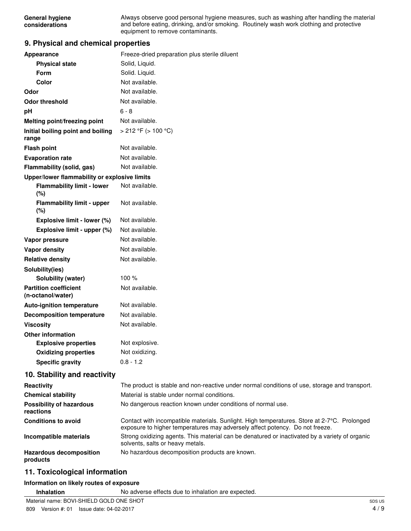|                | General hygiene |
|----------------|-----------------|
| considerations |                 |

Always observe good personal hygiene measures, such as washing after handling the material and before eating, drinking, and/or smoking. Routinely wash work clothing and protective equipment to remove contaminants.

## **9. Physical and chemical properties**

| Appearance                                        | Freeze-dried preparation plus sterile diluent                                                                                                                               |
|---------------------------------------------------|-----------------------------------------------------------------------------------------------------------------------------------------------------------------------------|
| <b>Physical state</b>                             | Solid, Liquid.                                                                                                                                                              |
| <b>Form</b>                                       | Solid. Liquid.                                                                                                                                                              |
| Color                                             | Not available.                                                                                                                                                              |
| Odor                                              | Not available.                                                                                                                                                              |
| <b>Odor threshold</b>                             | Not available.                                                                                                                                                              |
| pH                                                | $6 - 8$                                                                                                                                                                     |
| <b>Melting point/freezing point</b>               | Not available.                                                                                                                                                              |
| Initial boiling point and boiling                 | > 212 °F (> 100 °C)                                                                                                                                                         |
| range                                             |                                                                                                                                                                             |
| <b>Flash point</b>                                | Not available.                                                                                                                                                              |
| <b>Evaporation rate</b>                           | Not available.                                                                                                                                                              |
| Flammability (solid, gas)                         | Not available.                                                                                                                                                              |
| Upper/lower flammability or explosive limits      |                                                                                                                                                                             |
| <b>Flammability limit - lower</b><br>(%)          | Not available.                                                                                                                                                              |
| <b>Flammability limit - upper</b><br>$(\%)$       | Not available.                                                                                                                                                              |
| Explosive limit - lower (%)                       | Not available.                                                                                                                                                              |
| Explosive limit - upper (%)                       | Not available.                                                                                                                                                              |
| Vapor pressure                                    | Not available.                                                                                                                                                              |
| <b>Vapor density</b>                              | Not available.                                                                                                                                                              |
| <b>Relative density</b>                           | Not available.                                                                                                                                                              |
| Solubility(ies)                                   |                                                                                                                                                                             |
| Solubility (water)                                | 100 %                                                                                                                                                                       |
| <b>Partition coefficient</b><br>(n-octanol/water) | Not available.                                                                                                                                                              |
| Auto-ignition temperature                         | Not available.                                                                                                                                                              |
| <b>Decomposition temperature</b>                  | Not available.                                                                                                                                                              |
| <b>Viscosity</b>                                  | Not available.                                                                                                                                                              |
| <b>Other information</b>                          |                                                                                                                                                                             |
| <b>Explosive properties</b>                       | Not explosive.                                                                                                                                                              |
| <b>Oxidizing properties</b>                       | Not oxidizing.                                                                                                                                                              |
| <b>Specific gravity</b>                           | $0.8 - 1.2$                                                                                                                                                                 |
| 10. Stability and reactivity                      |                                                                                                                                                                             |
| Reactivity                                        | The product is stable and non-reactive under normal conditions of use, storage and transport.                                                                               |
| <b>Chemical stability</b>                         | Material is stable under normal conditions.                                                                                                                                 |
| <b>Possibility of hazardous</b><br>reactions      | No dangerous reaction known under conditions of normal use.                                                                                                                 |
| <b>Conditions to avoid</b>                        | Contact with incompatible materials. Sunlight. High temperatures. Store at 2-7°C. Prolonged<br>exposure to higher temperatures may adversely affect potency. Do not freeze. |
| Incompatible materials                            | Strong oxidizing agents. This material can be denatured or inactivated by a variety of organic<br>solvents, salts or heavy metals.                                          |
| <b>Hazardous decomposition</b><br>products        | No hazardous decomposition products are known.                                                                                                                              |
|                                                   |                                                                                                                                                                             |

# **11. Toxicological information**

## **Information on likely routes of exposure**

**Inhalation** No adverse effects due to inhalation are expected.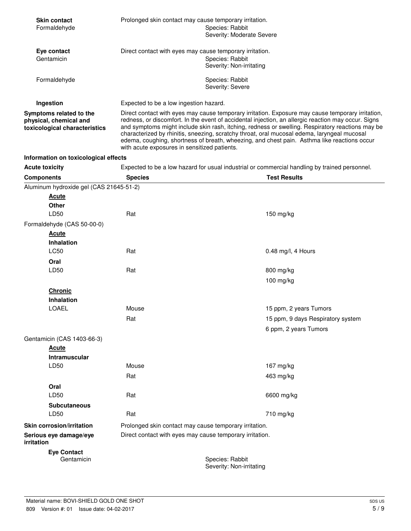| <b>Skin contact</b><br>Formaldehyde                                                | Prolonged skin contact may cause temporary irritation.<br>Species: Rabbit |                                                                                                                                                                                                                                                                                                                                                                                                                                                                                                                                                            |                                                                                               |  |
|------------------------------------------------------------------------------------|---------------------------------------------------------------------------|------------------------------------------------------------------------------------------------------------------------------------------------------------------------------------------------------------------------------------------------------------------------------------------------------------------------------------------------------------------------------------------------------------------------------------------------------------------------------------------------------------------------------------------------------------|-----------------------------------------------------------------------------------------------|--|
|                                                                                    |                                                                           | Severity: Moderate Severe                                                                                                                                                                                                                                                                                                                                                                                                                                                                                                                                  |                                                                                               |  |
| Eye contact                                                                        |                                                                           | Direct contact with eyes may cause temporary irritation.                                                                                                                                                                                                                                                                                                                                                                                                                                                                                                   |                                                                                               |  |
| Gentamicin                                                                         |                                                                           | Species: Rabbit<br>Severity: Non-irritating                                                                                                                                                                                                                                                                                                                                                                                                                                                                                                                |                                                                                               |  |
| Formaldehyde                                                                       |                                                                           | Species: Rabbit<br>Severity: Severe                                                                                                                                                                                                                                                                                                                                                                                                                                                                                                                        |                                                                                               |  |
| Ingestion                                                                          | Expected to be a low ingestion hazard.                                    |                                                                                                                                                                                                                                                                                                                                                                                                                                                                                                                                                            |                                                                                               |  |
| Symptoms related to the<br>physical, chemical and<br>toxicological characteristics |                                                                           | Direct contact with eyes may cause temporary irritation. Exposure may cause temporary irritation,<br>redness, or discomfort. In the event of accidental injection, an allergic reaction may occur. Signs<br>and symptoms might include skin rash, itching, redness or swelling. Respiratory reactions may be<br>characterized by rhinitis, sneezing, scratchy throat, oral mucosal edema, laryngeal mucosal<br>edema, coughing, shortness of breath, wheezing, and chest pain. Asthma like reactions occur<br>with acute exposures in sensitized patients. |                                                                                               |  |
| Information on toxicological effects                                               |                                                                           |                                                                                                                                                                                                                                                                                                                                                                                                                                                                                                                                                            |                                                                                               |  |
| <b>Acute toxicity</b>                                                              |                                                                           |                                                                                                                                                                                                                                                                                                                                                                                                                                                                                                                                                            | Expected to be a low hazard for usual industrial or commercial handling by trained personnel. |  |
| <b>Components</b>                                                                  | <b>Species</b>                                                            |                                                                                                                                                                                                                                                                                                                                                                                                                                                                                                                                                            | <b>Test Results</b>                                                                           |  |
| Aluminum hydroxide gel (CAS 21645-51-2)                                            |                                                                           |                                                                                                                                                                                                                                                                                                                                                                                                                                                                                                                                                            |                                                                                               |  |
| <b>Acute</b>                                                                       |                                                                           |                                                                                                                                                                                                                                                                                                                                                                                                                                                                                                                                                            |                                                                                               |  |
| <b>Other</b><br>LD50                                                               | Rat                                                                       |                                                                                                                                                                                                                                                                                                                                                                                                                                                                                                                                                            | 150 mg/kg                                                                                     |  |
| Formaldehyde (CAS 50-00-0)                                                         |                                                                           |                                                                                                                                                                                                                                                                                                                                                                                                                                                                                                                                                            |                                                                                               |  |
| <u>Acute</u>                                                                       |                                                                           |                                                                                                                                                                                                                                                                                                                                                                                                                                                                                                                                                            |                                                                                               |  |
| <b>Inhalation</b>                                                                  |                                                                           |                                                                                                                                                                                                                                                                                                                                                                                                                                                                                                                                                            |                                                                                               |  |
| LC50                                                                               | Rat                                                                       |                                                                                                                                                                                                                                                                                                                                                                                                                                                                                                                                                            | $0.48$ mg/l, 4 Hours                                                                          |  |
| Oral                                                                               |                                                                           |                                                                                                                                                                                                                                                                                                                                                                                                                                                                                                                                                            |                                                                                               |  |
| LD50                                                                               | Rat                                                                       |                                                                                                                                                                                                                                                                                                                                                                                                                                                                                                                                                            | 800 mg/kg                                                                                     |  |
|                                                                                    |                                                                           |                                                                                                                                                                                                                                                                                                                                                                                                                                                                                                                                                            | 100 mg/kg                                                                                     |  |
| <b>Chronic</b>                                                                     |                                                                           |                                                                                                                                                                                                                                                                                                                                                                                                                                                                                                                                                            |                                                                                               |  |
| <b>Inhalation</b>                                                                  |                                                                           |                                                                                                                                                                                                                                                                                                                                                                                                                                                                                                                                                            |                                                                                               |  |
| LOAEL                                                                              | Mouse                                                                     |                                                                                                                                                                                                                                                                                                                                                                                                                                                                                                                                                            | 15 ppm, 2 years Tumors                                                                        |  |
|                                                                                    | Rat                                                                       |                                                                                                                                                                                                                                                                                                                                                                                                                                                                                                                                                            | 15 ppm, 9 days Respiratory system                                                             |  |
|                                                                                    |                                                                           |                                                                                                                                                                                                                                                                                                                                                                                                                                                                                                                                                            | 6 ppm, 2 years Tumors                                                                         |  |
| Gentamicin (CAS 1403-66-3)                                                         |                                                                           |                                                                                                                                                                                                                                                                                                                                                                                                                                                                                                                                                            |                                                                                               |  |
| <b>Acute</b>                                                                       |                                                                           |                                                                                                                                                                                                                                                                                                                                                                                                                                                                                                                                                            |                                                                                               |  |
| Intramuscular                                                                      |                                                                           |                                                                                                                                                                                                                                                                                                                                                                                                                                                                                                                                                            |                                                                                               |  |
| LD50                                                                               | Mouse                                                                     |                                                                                                                                                                                                                                                                                                                                                                                                                                                                                                                                                            | 167 mg/kg                                                                                     |  |
|                                                                                    | Rat                                                                       |                                                                                                                                                                                                                                                                                                                                                                                                                                                                                                                                                            | 463 mg/kg                                                                                     |  |
| Oral                                                                               |                                                                           |                                                                                                                                                                                                                                                                                                                                                                                                                                                                                                                                                            |                                                                                               |  |
| LD50                                                                               | Rat                                                                       |                                                                                                                                                                                                                                                                                                                                                                                                                                                                                                                                                            | 6600 mg/kg                                                                                    |  |
| <b>Subcutaneous</b>                                                                |                                                                           |                                                                                                                                                                                                                                                                                                                                                                                                                                                                                                                                                            |                                                                                               |  |
| LD50                                                                               | Rat                                                                       |                                                                                                                                                                                                                                                                                                                                                                                                                                                                                                                                                            | 710 mg/kg                                                                                     |  |
| <b>Skin corrosion/irritation</b>                                                   |                                                                           | Prolonged skin contact may cause temporary irritation.                                                                                                                                                                                                                                                                                                                                                                                                                                                                                                     |                                                                                               |  |
| Serious eye damage/eye<br>irritation                                               |                                                                           | Direct contact with eyes may cause temporary irritation.                                                                                                                                                                                                                                                                                                                                                                                                                                                                                                   |                                                                                               |  |
| <b>Eye Contact</b><br>Gentamicin                                                   |                                                                           | Species: Rabbit                                                                                                                                                                                                                                                                                                                                                                                                                                                                                                                                            |                                                                                               |  |

Severity: Non-irritating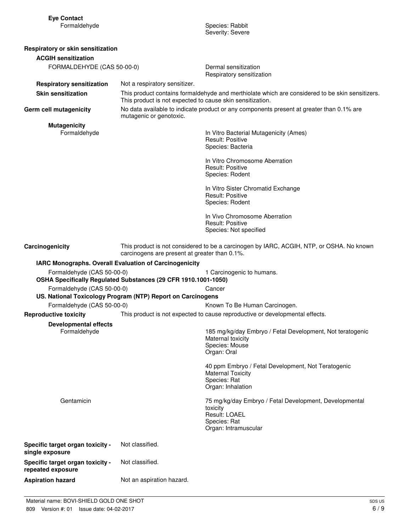| <b>Eye Contact</b><br>Formaldehyde                     |                                                                | Species: Rabbit<br>Severity: Severe                                                                                         |
|--------------------------------------------------------|----------------------------------------------------------------|-----------------------------------------------------------------------------------------------------------------------------|
| Respiratory or skin sensitization                      |                                                                |                                                                                                                             |
| <b>ACGIH sensitization</b>                             |                                                                |                                                                                                                             |
| FORMALDEHYDE (CAS 50-00-0)                             |                                                                | Dermal sensitization<br>Respiratory sensitization                                                                           |
| <b>Respiratory sensitization</b>                       | Not a respiratory sensitizer.                                  |                                                                                                                             |
| <b>Skin sensitization</b>                              | This product is not expected to cause skin sensitization.      | This product contains formaldehyde and merthiolate which are considered to be skin sensitizers.                             |
| Germ cell mutagenicity                                 | mutagenic or genotoxic.                                        | No data available to indicate product or any components present at greater than 0.1% are                                    |
| <b>Mutagenicity</b><br>Formaldehyde                    |                                                                | In Vitro Bacterial Mutagenicity (Ames)<br><b>Result: Positive</b><br>Species: Bacteria                                      |
|                                                        |                                                                | In Vitro Chromosome Aberration<br><b>Result: Positive</b><br>Species: Rodent                                                |
|                                                        |                                                                | In Vitro Sister Chromatid Exchange<br><b>Result: Positive</b><br>Species: Rodent                                            |
|                                                        |                                                                | In Vivo Chromosome Aberration<br><b>Result: Positive</b><br>Species: Not specified                                          |
| Carcinogenicity                                        | carcinogens are present at greater than 0.1%.                  | This product is not considered to be a carcinogen by IARC, ACGIH, NTP, or OSHA. No known                                    |
| IARC Monographs. Overall Evaluation of Carcinogenicity |                                                                |                                                                                                                             |
| Formaldehyde (CAS 50-00-0)                             | OSHA Specifically Regulated Substances (29 CFR 1910.1001-1050) | 1 Carcinogenic to humans.                                                                                                   |
| Formaldehyde (CAS 50-00-0)                             | US. National Toxicology Program (NTP) Report on Carcinogens    | Cancer                                                                                                                      |
| Formaldehyde (CAS 50-00-0)                             |                                                                | Known To Be Human Carcinogen.                                                                                               |
| <b>Reproductive toxicity</b>                           |                                                                | This product is not expected to cause reproductive or developmental effects.                                                |
| <b>Developmental effects</b><br>Formaldehyde           |                                                                | 185 mg/kg/day Embryo / Fetal Development, Not teratogenic<br>Maternal toxicity<br>Species: Mouse<br>Organ: Oral             |
|                                                        |                                                                | 40 ppm Embryo / Fetal Development, Not Teratogenic<br><b>Maternal Toxicity</b><br>Species: Rat<br>Organ: Inhalation         |
| Gentamicin                                             |                                                                | 75 mg/kg/day Embryo / Fetal Development, Developmental<br>toxicity<br>Result: LOAEL<br>Species: Rat<br>Organ: Intramuscular |
| Specific target organ toxicity -<br>single exposure    | Not classified.                                                |                                                                                                                             |
| Specific target organ toxicity -<br>repeated exposure  | Not classified.                                                |                                                                                                                             |
| <b>Aspiration hazard</b>                               | Not an aspiration hazard.                                      |                                                                                                                             |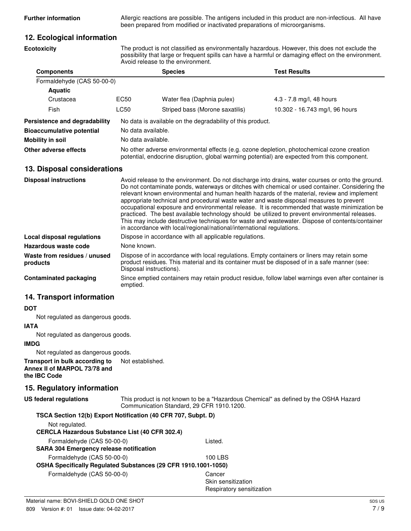**Further information** Allergic reactions are possible. The antigens included in this product are non-infectious. All have been prepared from modified or inactivated preparations of microorganisms.

## **12. Ecological information**

**Ecotoxicity**

The product is not classified as environmentally hazardous. However, this does not exclude the possibility that large or frequent spills can have a harmful or damaging effect on the environment. Avoid release to the environment.

| <b>Components</b>                |                                                                                                                                                                                            | <b>Species</b>                                             | <b>Test Results</b>            |  |
|----------------------------------|--------------------------------------------------------------------------------------------------------------------------------------------------------------------------------------------|------------------------------------------------------------|--------------------------------|--|
| Formaldehyde (CAS 50-00-0)       |                                                                                                                                                                                            |                                                            |                                |  |
| <b>Aquatic</b>                   |                                                                                                                                                                                            |                                                            |                                |  |
| Crustacea                        | EC50                                                                                                                                                                                       | Water flea (Daphnia pulex)                                 | 4.3 - 7.8 mg/l, 48 hours       |  |
| Fish                             | LC50                                                                                                                                                                                       | Striped bass (Morone saxatilis)                            | 10.302 - 16.743 mg/l, 96 hours |  |
| Persistence and degradability    |                                                                                                                                                                                            | No data is available on the degradability of this product. |                                |  |
| <b>Bioaccumulative potential</b> |                                                                                                                                                                                            | No data available.                                         |                                |  |
| Mobility in soil                 | No data available.                                                                                                                                                                         |                                                            |                                |  |
| Other adverse effects            | No other adverse environmental effects (e.g. ozone depletion, photochemical ozone creation<br>potential, endocrine disruption, global warming potential) are expected from this component. |                                                            |                                |  |

## **13. Disposal considerations**

| <b>Disposal instructions</b>             | Avoid release to the environment. Do not discharge into drains, water courses or onto the ground.<br>Do not contaminate ponds, waterways or ditches with chemical or used container. Considering the<br>relevant known environmental and human health hazards of the material, review and implement<br>appropriate technical and procedural waste water and waste disposal measures to prevent<br>occupational exposure and environmental release. It is recommended that waste minimization be<br>practiced. The best available technology should be utilized to prevent environmental releases.<br>This may include destructive techniques for waste and wastewater. Dispose of contents/container<br>in accordance with local/regional/national/international regulations. |
|------------------------------------------|-------------------------------------------------------------------------------------------------------------------------------------------------------------------------------------------------------------------------------------------------------------------------------------------------------------------------------------------------------------------------------------------------------------------------------------------------------------------------------------------------------------------------------------------------------------------------------------------------------------------------------------------------------------------------------------------------------------------------------------------------------------------------------|
| Local disposal regulations               | Dispose in accordance with all applicable regulations.                                                                                                                                                                                                                                                                                                                                                                                                                                                                                                                                                                                                                                                                                                                        |
| Hazardous waste code                     | None known.                                                                                                                                                                                                                                                                                                                                                                                                                                                                                                                                                                                                                                                                                                                                                                   |
| Waste from residues / unused<br>products | Dispose of in accordance with local regulations. Empty containers or liners may retain some<br>product residues. This material and its container must be disposed of in a safe manner (see:<br>Disposal instructions).                                                                                                                                                                                                                                                                                                                                                                                                                                                                                                                                                        |
| <b>Contaminated packaging</b>            | Since emptied containers may retain product residue, follow label warnings even after container is<br>emptied.                                                                                                                                                                                                                                                                                                                                                                                                                                                                                                                                                                                                                                                                |

## **14. Transport information**

### **DOT**

Not regulated as dangerous goods.

#### **IATA**

Not regulated as dangerous goods.

#### **IMDG**

Not regulated as dangerous goods.

**Transport in bulk according to** Not established. **Annex II of MARPOL 73/78 and the IBC Code**

## **15. Regulatory information**

This product is not known to be a "Hazardous Chemical" as defined by the OSHA Hazard Communication Standard, 29 CFR 1910.1200. **US federal regulations**

| TSCA Section 12(b) Export Notification (40 CFR 707, Subpt. D)<br>Not regulated. |                           |  |
|---------------------------------------------------------------------------------|---------------------------|--|
| <b>CERCLA Hazardous Substance List (40 CFR 302.4)</b>                           |                           |  |
| Formaldehyde (CAS 50-00-0)                                                      | Listed.                   |  |
| <b>SARA 304 Emergency release notification</b>                                  |                           |  |
| Formaldehyde (CAS 50-00-0)                                                      | 100 LBS                   |  |
| OSHA Specifically Regulated Substances (29 CFR 1910.1001-1050)                  |                           |  |
| Formaldehyde (CAS 50-00-0)                                                      | Cancer                    |  |
|                                                                                 | Skin sensitization        |  |
|                                                                                 | Respiratory sensitization |  |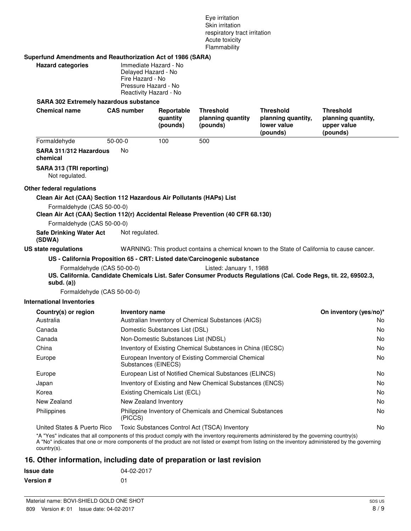Eye irritation Skin irritation respiratory tract irritation Acute toxicity Flammability

#### **Superfund Amendments and Reauthorization Act of 1986 (SARA)**

| <b>Hazard categories</b>               | Immediate Hazard - No<br>Delayed Hazard - No |
|----------------------------------------|----------------------------------------------|
|                                        | Fire Hazard - No                             |
|                                        | Pressure Hazard - No                         |
|                                        | Reactivity Hazard - No                       |
| SARA 302 Extremely hazardous substance |                                              |

#### **SARA 302 Extremely hazardous substance**

| <b>Chemical name</b>                                                                                                                                                                   | <b>CAS number</b> | Reportable<br>quantity<br>(pounds)                                        | <b>Threshold</b><br>planning quantity<br>(pounds)         | <b>Threshold</b><br>planning quantity,<br>lower value<br>(pounds)                                                | <b>Threshold</b><br>planning quantity,<br>upper value<br>(pounds) |
|----------------------------------------------------------------------------------------------------------------------------------------------------------------------------------------|-------------------|---------------------------------------------------------------------------|-----------------------------------------------------------|------------------------------------------------------------------------------------------------------------------|-------------------------------------------------------------------|
| Formaldehyde                                                                                                                                                                           | $50 - 00 - 0$     | 100                                                                       | 500                                                       |                                                                                                                  |                                                                   |
| SARA 311/312 Hazardous<br>chemical                                                                                                                                                     | No                |                                                                           |                                                           |                                                                                                                  |                                                                   |
| SARA 313 (TRI reporting)<br>Not regulated.                                                                                                                                             |                   |                                                                           |                                                           |                                                                                                                  |                                                                   |
| Other federal regulations                                                                                                                                                              |                   |                                                                           |                                                           |                                                                                                                  |                                                                   |
| Clean Air Act (CAA) Section 112 Hazardous Air Pollutants (HAPs) List<br>Formaldehyde (CAS 50-00-0)<br>Clean Air Act (CAA) Section 112(r) Accidental Release Prevention (40 CFR 68.130) |                   |                                                                           |                                                           |                                                                                                                  |                                                                   |
| Formaldehyde (CAS 50-00-0)                                                                                                                                                             |                   |                                                                           |                                                           |                                                                                                                  |                                                                   |
| <b>Safe Drinking Water Act</b><br>(SDWA)                                                                                                                                               | Not regulated.    |                                                                           |                                                           |                                                                                                                  |                                                                   |
| US state regulations                                                                                                                                                                   |                   |                                                                           |                                                           | WARNING: This product contains a chemical known to the State of California to cause cancer.                      |                                                                   |
| Formaldehyde (CAS 50-00-0)<br>subd. $(a)$<br>Formaldehyde (CAS 50-00-0)<br><b>International Inventories</b>                                                                            |                   |                                                                           | Listed: January 1, 1988                                   | US. California. Candidate Chemicals List. Safer Consumer Products Regulations (Cal. Code Regs, tit. 22, 69502.3, |                                                                   |
| Country(s) or region                                                                                                                                                                   |                   |                                                                           |                                                           |                                                                                                                  | On inventory (yes/no)*                                            |
| Australia                                                                                                                                                                              |                   | Inventory name<br>Australian Inventory of Chemical Substances (AICS)      |                                                           |                                                                                                                  | No.                                                               |
| Canada                                                                                                                                                                                 |                   | Domestic Substances List (DSL)                                            |                                                           |                                                                                                                  | No                                                                |
| Canada                                                                                                                                                                                 |                   | Non-Domestic Substances List (NDSL)                                       |                                                           |                                                                                                                  | No                                                                |
| China                                                                                                                                                                                  |                   | Inventory of Existing Chemical Substances in China (IECSC)                |                                                           |                                                                                                                  | No.                                                               |
| Europe                                                                                                                                                                                 |                   | European Inventory of Existing Commercial Chemical<br>Substances (EINECS) |                                                           |                                                                                                                  | No                                                                |
| Europe                                                                                                                                                                                 |                   |                                                                           | European List of Notified Chemical Substances (ELINCS)    |                                                                                                                  | No                                                                |
| Japan                                                                                                                                                                                  |                   | Inventory of Existing and New Chemical Substances (ENCS)                  |                                                           |                                                                                                                  | No                                                                |
| Korea                                                                                                                                                                                  |                   | Existing Chemicals List (ECL)                                             |                                                           |                                                                                                                  | No                                                                |
| New Zealand                                                                                                                                                                            |                   | New Zealand Inventory                                                     |                                                           |                                                                                                                  | No                                                                |
| Philippines                                                                                                                                                                            | (PICCS)           |                                                                           | Philippine Inventory of Chemicals and Chemical Substances |                                                                                                                  | No                                                                |
| United States & Puerto Rico<br>*A "Yes" indicates that all components of this product comply with the inventory requirements administered by the governing country(s)                  |                   |                                                                           | Toxic Substances Control Act (TSCA) Inventory             |                                                                                                                  | No                                                                |

A "No" indicates that one or more components of the product are not listed or exempt from listing on the inventory administered by the governing country(s).

# **16. Other information, including date of preparation or last revision**

| <b>Issue date</b> | 04-02-2017 |
|-------------------|------------|
| <b>Version #</b>  | 01         |